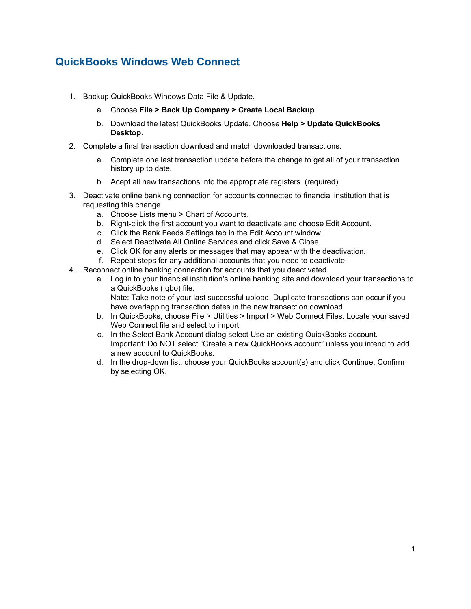## **QuickBooks Windows Web Connect**

- 1. Backup QuickBooks Windows Data File & Update.
	- a. Choose **File > Back Up Company > Create Local Backup**.
	- b. Download the latest QuickBooks Update. Choose **Help > Update QuickBooks Desktop**.
- 2. Complete a final transaction download and match downloaded transactions.
	- a. Complete one last transaction update before the change to get all of your transaction history up to date.
	- b. Acept all new transactions into the appropriate registers. (required)
- 3. Deactivate online banking connection for accounts connected to financial institution that is requesting this change.
	- a. Choose Lists menu > Chart of Accounts.
	- b. Right-click the first account you want to deactivate and choose Edit Account.
	- c. Click the Bank Feeds Settings tab in the Edit Account window.
	- d. Select Deactivate All Online Services and click Save & Close.
	- e. Click OK for any alerts or messages that may appear with the deactivation.
	- f. Repeat steps for any additional accounts that you need to deactivate.
- 4. Reconnect online banking connection for accounts that you deactivated.
	- a. Log in to your financial institution's online banking site and download your transactions to a QuickBooks (.qbo) file. Note: Take note of your last successful upload. Duplicate transactions can occur if you have overlapping transaction dates in the new transaction download.
	- b. In QuickBooks, choose File > Utilities > Import > Web Connect Files. Locate your saved Web Connect file and select to import.
	- c. In the Select Bank Account dialog select Use an existing QuickBooks account. Important: Do NOT select "Create a new QuickBooks account" unless you intend to add a new account to QuickBooks.
	- d. In the drop-down list, choose your QuickBooks account(s) and click Continue. Confirm by selecting OK.